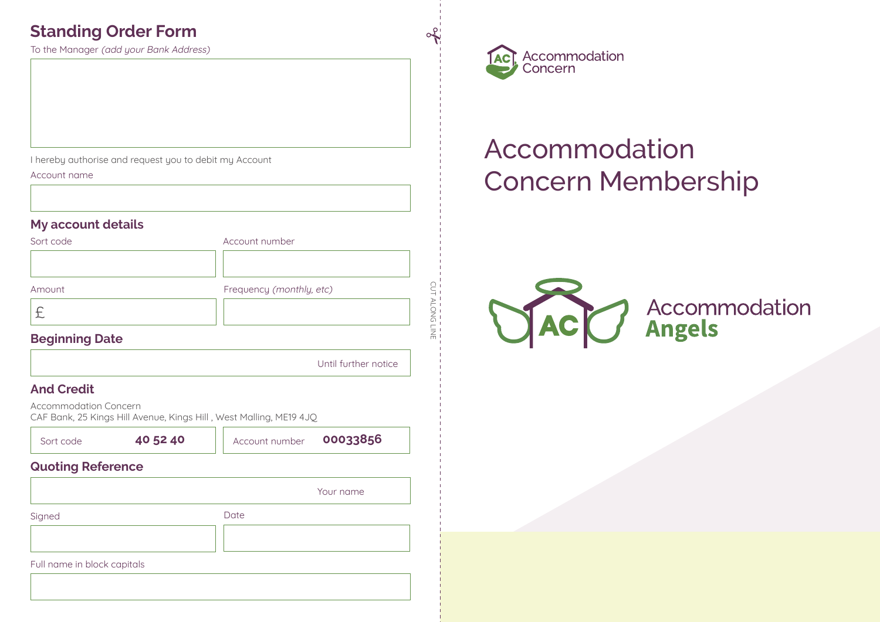# **Standing Order Form**

To the Manager (add your Bank Address)

I hereby authorise and request you to debit my Account

Account name

### **My account details**

| Sort code | Account number           |
|-----------|--------------------------|
|           |                          |
| Amount    | Frequency (monthly, etc) |
|           |                          |

## **Beginning Date**

Until further notice

CUT ALONG LINE

CUT ALONG

of

### **And Credit**

Accommodation Concern CAF Bank, 25 Kings Hill Avenue, Kings Hill , West Malling, ME19 4JQ

Sort code **40 52 40 Account number <b>00033856** 

## **Quoting Reference**

|                             | Your name |  |
|-----------------------------|-----------|--|
| Signed                      | Date      |  |
|                             |           |  |
|                             |           |  |
| Full name in block capitals |           |  |



# Accommodation Concern Membership